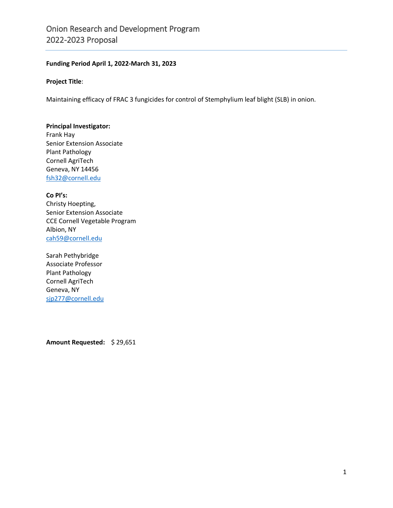## **Funding Period April 1, 2022-March 31, 2023**

#### **Project Title**:

Maintaining efficacy of FRAC 3 fungicides for control of Stemphylium leaf blight (SLB) in onion.

### **Principal Investigator:**

Frank Hay Senior Extension Associate Plant Pathology Cornell AgriTech Geneva, NY 14456 [fsh32@cornell.edu](mailto:fsh32@cornell.edu)

#### **Co PI's:**

Christy Hoepting, Senior Extension Associate CCE Cornell Vegetable Program Albion, NY [cah59@cornell.edu](mailto:cah59@cornell.edu)

Sarah Pethybridge Associate Professor Plant Pathology Cornell AgriTech Geneva, NY [sjp277@cornell.edu](mailto:sjp277@cornell.edu)

**Amount Requested:** \$ 29,651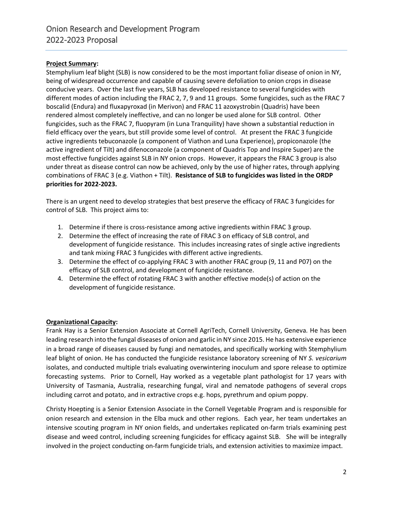## **Project Summary:**

Stemphylium leaf blight (SLB) is now considered to be the most important foliar disease of onion in NY, being of widespread occurrence and capable of causing severe defoliation to onion crops in disease conducive years. Over the last five years, SLB has developed resistance to several fungicides with different modes of action including the FRAC 2, 7, 9 and 11 groups. Some fungicides, such as the FRAC 7 boscalid (Endura) and fluxapyroxad (in Merivon) and FRAC 11 azoxystrobin (Quadris) have been rendered almost completely ineffective, and can no longer be used alone for SLB control. Other fungicides, such as the FRAC 7, fluopyram (in Luna Tranquility) have shown a substantial reduction in field efficacy over the years, but still provide some level of control. At present the FRAC 3 fungicide active ingredients tebuconazole (a component of Viathon and Luna Experience), propiconazole (the active ingredient of Tilt) and difenoconazole (a component of Quadris Top and Inspire Super) are the most effective fungicides against SLB in NY onion crops. However, it appears the FRAC 3 group is also under threat as disease control can now be achieved, only by the use of higher rates, through applying combinations of FRAC 3 (e.g. Viathon + Tilt). **Resistance of SLB to fungicides was listed in the ORDP priorities for 2022-2023.**

There is an urgent need to develop strategies that best preserve the efficacy of FRAC 3 fungicides for control of SLB. This project aims to:

- 1. Determine if there is cross-resistance among active ingredients within FRAC 3 group.
- 2. Determine the effect of increasing the rate of FRAC 3 on efficacy of SLB control, and development of fungicide resistance. This includes increasing rates of single active ingredients and tank mixing FRAC 3 fungicides with different active ingredients.
- 3. Determine the effect of co-applying FRAC 3 with another FRAC group (9, 11 and P07) on the efficacy of SLB control, and development of fungicide resistance.
- 4. Determine the effect of rotating FRAC 3 with another effective mode(s) of action on the development of fungicide resistance.

## **Organizational Capacity:**

Frank Hay is a Senior Extension Associate at Cornell AgriTech, Cornell University, Geneva. He has been leading research into the fungal diseases of onion and garlic in NY since 2015. He has extensive experience in a broad range of diseases caused by fungi and nematodes, and specifically working with Stemphylium leaf blight of onion. He has conducted the fungicide resistance laboratory screening of NY *S. vesicarium*  isolates, and conducted multiple trials evaluating overwintering inoculum and spore release to optimize forecasting systems. Prior to Cornell, Hay worked as a vegetable plant pathologist for 17 years with University of Tasmania, Australia, researching fungal, viral and nematode pathogens of several crops including carrot and potato, and in extractive crops e.g. hops, pyrethrum and opium poppy.

Christy Hoepting is a Senior Extension Associate in the Cornell Vegetable Program and is responsible for onion research and extension in the Elba muck and other regions. Each year, her team undertakes an intensive scouting program in NY onion fields, and undertakes replicated on-farm trials examining pest disease and weed control, including screening fungicides for efficacy against SLB. She will be integrally involved in the project conducting on-farm fungicide trials, and extension activities to maximize impact.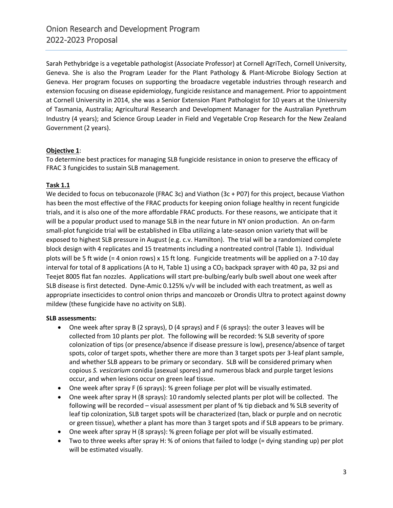Sarah Pethybridge is a vegetable pathologist (Associate Professor) at Cornell AgriTech, Cornell University, Geneva. She is also the Program Leader for the Plant Pathology & Plant-Microbe Biology Section at Geneva. Her program focuses on supporting the broadacre vegetable industries through research and extension focusing on disease epidemiology, fungicide resistance and management. Prior to appointment at Cornell University in 2014, she was a Senior Extension Plant Pathologist for 10 years at the University of Tasmania, Australia; Agricultural Research and Development Manager for the Australian Pyrethrum Industry (4 years); and Science Group Leader in Field and Vegetable Crop Research for the New Zealand Government (2 years).

## **Objective 1**:

To determine best practices for managing SLB fungicide resistance in onion to preserve the efficacy of FRAC 3 fungicides to sustain SLB management.

## **Task 1.1**

We decided to focus on tebuconazole (FRAC 3c) and Viathon (3c + P07) for this project, because Viathon has been the most effective of the FRAC products for keeping onion foliage healthy in recent fungicide trials, and it is also one of the more affordable FRAC products. For these reasons, we anticipate that it will be a popular product used to manage SLB in the near future in NY onion production. An on-farm small-plot fungicide trial will be established in Elba utilizing a late-season onion variety that will be exposed to highest SLB pressure in August (e.g. c.v. Hamilton). The trial will be a randomized complete block design with 4 replicates and 15 treatments including a nontreated control (Table 1). Individual plots will be 5 ft wide (= 4 onion rows) x 15 ft long. Fungicide treatments will be applied on a 7-10 day interval for total of 8 applications (A to H, Table 1) using a  $CO<sub>2</sub>$  backpack sprayer with 40 pa, 32 psi and Teejet 8005 flat fan nozzles. Applications will start pre-bulbing/early bulb swell about one week after SLB disease is first detected. Dyne-Amic 0.125% v/v will be included with each treatment, as well as appropriate insecticides to control onion thrips and mancozeb or Orondis Ultra to protect against downy mildew (these fungicide have no activity on SLB).

#### **SLB assessments:**

- One week after spray B (2 sprays), D (4 sprays) and F (6 sprays): the outer 3 leaves will be collected from 10 plants per plot. The following will be recorded: % SLB severity of spore colonization of tips (or presence/absence if disease pressure is low), presence/absence of target spots, color of target spots, whether there are more than 3 target spots per 3-leaf plant sample, and whether SLB appears to be primary or secondary. SLB will be considered primary when copious *S. vesicarium* conidia (asexual spores) and numerous black and purple target lesions occur, and when lesions occur on green leaf tissue.
- One week after spray F (6 sprays): % green foliage per plot will be visually estimated.
- One week after spray H (8 sprays): 10 randomly selected plants per plot will be collected. The following will be recorded – visual assessment per plant of % tip dieback and % SLB severity of leaf tip colonization, SLB target spots will be characterized (tan, black or purple and on necrotic or green tissue), whether a plant has more than 3 target spots and if SLB appears to be primary.
- One week after spray H (8 sprays): % green foliage per plot will be visually estimated.
- Two to three weeks after spray H: % of onions that failed to lodge (= dying standing up) per plot will be estimated visually.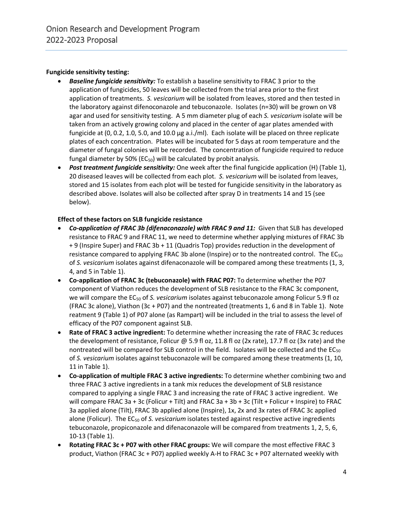## **Fungicide sensitivity testing:**

- *Baseline fungicide sensitivity:* To establish a baseline sensitivity to FRAC 3 prior to the application of fungicides, 50 leaves will be collected from the trial area prior to the first application of treatments. *S. vesicarium* will be isolated from leaves, stored and then tested in the laboratory against difenoconazole and tebuconazole. Isolates (n=30) will be grown on V8 agar and used for sensitivity testing. A 5 mm diameter plug of each *S. vesicarium* isolate will be taken from an actively growing colony and placed in the center of agar plates amended with fungicide at (0, 0.2, 1.0, 5.0, and 10.0 µg a.i./ml). Each isolate will be placed on three replicate plates of each concentration. Plates will be incubated for 5 days at room temperature and the diameter of fungal colonies will be recorded. The concentration of fungicide required to reduce fungal diameter by 50% ( $EC_{50}$ ) will be calculated by probit analysis.
- *Post treatment fungicide sensitivity:* One week after the final fungicide application (H) (Table 1), 20 diseased leaves will be collected from each plot. *S. vesicarium* will be isolated from leaves, stored and 15 isolates from each plot will be tested for fungicide sensitivity in the laboratory as described above. Isolates will also be collected after spray D in treatments 14 and 15 (see below).

## **Effect of these factors on SLB fungicide resistance**

- *Co-application of FRAC 3b (difenaconazole) with FRAC 9 and 11:* Given that SLB has developed resistance to FRAC 9 and FRAC 11, we need to determine whether applying mixtures of FRAC 3b + 9 (Inspire Super) and FRAC 3b + 11 (Quadris Top) provides reduction in the development of resistance compared to applying FRAC 3b alone (Inspire) or to the nontreated control. The EC<sub>50</sub> of *S. vesicarium* isolates against difenaconazole will be compared among these treatments (1, 3, 4, and 5 in Table 1).
- **Co-application of FRAC 3c (tebuconazole) with FRAC P07:** To determine whether the P07 component of Viathon reduces the development of SLB resistance to the FRAC 3c component, we will compare the EC<sub>50</sub> of *S. vesicarium* isolates against tebuconazole among Folicur 5.9 fl oz (FRAC 3c alone), Viathon (3c + P07) and the nontreated (treatments 1, 6 and 8 in Table 1). Note reatment 9 (Table 1) of P07 alone (as Rampart) will be included in the trial to assess the level of efficacy of the P07 component against SLB.
- **Rate of FRAC 3 active ingredient:** To determine whether increasing the rate of FRAC 3c reduces the development of resistance, Folicur @ 5.9 fl oz, 11.8 fl oz (2x rate), 17.7 fl oz (3x rate) and the nontreated will be compared for SLB control in the field. Isolates will be collected and the EC<sub>50</sub> of *S. vesicarium* isolates against tebuconazole will be compared among these treatments (1, 10, 11 in Table 1).
- **Co-application of multiple FRAC 3 active ingredients:** To determine whether combining two and three FRAC 3 active ingredients in a tank mix reduces the development of SLB resistance compared to applying a single FRAC 3 and increasing the rate of FRAC 3 active ingredient. We will compare FRAC 3a + 3c (Folicur + Tilt) and FRAC 3a + 3b + 3c (Tilt + Folicur + Inspire) to FRAC 3a applied alone (Tilt), FRAC 3b applied alone (Inspire), 1x, 2x and 3x rates of FRAC 3c applied alone (Folicur). The EC<sub>50</sub> of *S. vesicarium* isolates tested against respective active ingredients tebuconazole, propiconazole and difenaconazole will be compared from treatments 1, 2, 5, 6, 10-13 (Table 1).
- **Rotating FRAC 3c + P07 with other FRAC groups:** We will compare the most effective FRAC 3 product, Viathon (FRAC 3c + P07) applied weekly A-H to FRAC 3c + P07 alternated weekly with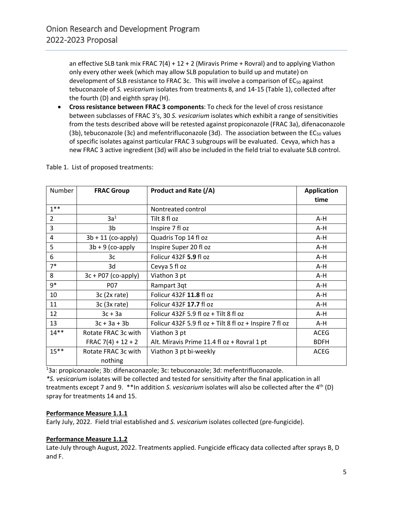an effective SLB tank mix FRAC 7(4) +  $12 + 2$  (Miravis Prime + Rovral) and to applying Viathon only every other week (which may allow SLB population to build up and mutate) on development of SLB resistance to FRAC 3c. This will involve a comparison of EC<sub>50</sub> against tebuconazole of *S. vesicarium* isolates from treatments 8, and 14-15 (Table 1), collected after the fourth (D) and eighth spray (H).

• **Cross resistance between FRAC 3 components**: To check for the level of cross resistance between subclasses of FRAC 3's, 30 *S. vesicarium* isolates which exhibit a range of sensitivities from the tests described above will be retested against propiconazole (FRAC 3a), difenaconazole (3b), tebuconazole (3c) and mefentrifluconazole (3d). The association between the  $EC_{50}$  values of specific isolates against particular FRAC 3 subgroups will be evaluated. Cevya, which has a new FRAC 3 active ingredient (3d) will also be included in the field trial to evaluate SLB control.

| Number         | <b>FRAC Group</b>     | Product and Rate (/A)                                   | <b>Application</b> |
|----------------|-----------------------|---------------------------------------------------------|--------------------|
|                |                       |                                                         | time               |
| $1***$         |                       | Nontreated control                                      |                    |
| $\overline{2}$ | 3a <sup>1</sup>       | Tilt 8 fl oz                                            | A-H                |
| 3              | 3b                    | Inspire 7 fl oz                                         | A-H                |
| 4              | $3b + 11$ (co-apply)  | Quadris Top 14 fl oz                                    | $A-H$              |
| 5              | $3b + 9$ (co-apply    | Inspire Super 20 fl oz                                  | A-H                |
| 6              | 3c                    | Folicur 432F 5.9 fl oz                                  | A-H                |
| $7*$           | 3d                    | Cevya 5 fl oz                                           | A-H                |
| 8              | $3c + P07$ (co-apply) | Viathon 3 pt                                            | A-H                |
| $9*$           | <b>P07</b>            | Rampart 3qt                                             | A-H                |
| 10             | 3c(2x rate)           | Folicur 432F 11.8 fl oz                                 | A-H                |
| 11             | $3c$ (3x rate)        | Folicur 432F 17.7 fl oz                                 | A-H                |
| 12             | $3c + 3a$             | Folicur 432F 5.9 fl oz + Tilt 8 fl oz                   | A-H                |
| 13             | $3c + 3a + 3b$        | Folicur 432F 5.9 fl oz + Tilt 8 fl oz + Inspire 7 fl oz | A-H                |
| $14**$         | Rotate FRAC 3c with   | Viathon 3 pt                                            | ACEG               |
|                | FRAC $7(4) + 12 + 2$  | Alt. Miravis Prime 11.4 fl oz + Rovral 1 pt             | <b>BDFH</b>        |
| $15***$        | Rotate FRAC 3c with   | Viathon 3 pt bi-weekly                                  | <b>ACEG</b>        |
|                | nothing               |                                                         |                    |

Table 1. List of proposed treatments:

<sup>1</sup>3a: propiconazole; 3b: difenaconazole; 3c: tebuconazole; 3d: mefentrifluconazole.

*\*S. vesicarium* isolates will be collected and tested for sensitivity after the final application in all treatments except 7 and 9. \*\*In addition *S. vesicarium* isolates will also be collected after the 4th (D) spray for treatments 14 and 15.

## **Performance Measure 1.1.1**

Early July, 2022. Field trial established and *S. vesicarium* isolates collected (pre-fungicide).

## **Performance Measure 1.1.2**

Late-July through August, 2022. Treatments applied. Fungicide efficacy data collected after sprays B, D and F.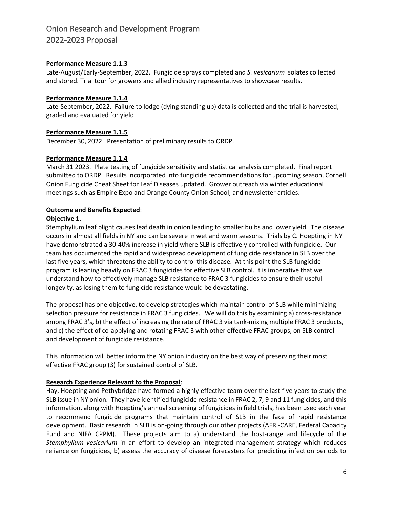## **Performance Measure 1.1.3**

Late-August/Early-September, 2022. Fungicide sprays completed and *S. vesicarium* isolates collected and stored. Trial tour for growers and allied industry representatives to showcase results.

#### **Performance Measure 1.1.4**

Late-September, 2022. Failure to lodge (dying standing up) data is collected and the trial is harvested, graded and evaluated for yield.

## **Performance Measure 1.1.5**

December 30, 2022. Presentation of preliminary results to ORDP.

## **Performance Measure 1.1.4**

March 31 2023. Plate testing of fungicide sensitivity and statistical analysis completed. Final report submitted to ORDP. Results incorporated into fungicide recommendations for upcoming season, Cornell Onion Fungicide Cheat Sheet for Leaf Diseases updated. Grower outreach via winter educational meetings such as Empire Expo and Orange County Onion School, and newsletter articles.

## **Outcome and Benefits Expected**:

#### **Objective 1.**

Stemphylium leaf blight causes leaf death in onion leading to smaller bulbs and lower yield. The disease occurs in almost all fields in NY and can be severe in wet and warm seasons. Trials by C. Hoepting in NY have demonstrated a 30-40% increase in yield where SLB is effectively controlled with fungicide. Our team has documented the rapid and widespread development of fungicide resistance in SLB over the last five years, which threatens the ability to control this disease. At this point the SLB fungicide program is leaning heavily on FRAC 3 fungicides for effective SLB control. It is imperative that we understand how to effectively manage SLB resistance to FRAC 3 fungicides to ensure their useful longevity, as losing them to fungicide resistance would be devastating.

The proposal has one objective, to develop strategies which maintain control of SLB while minimizing selection pressure for resistance in FRAC 3 fungicides. We will do this by examining a) cross-resistance among FRAC 3's, b) the effect of increasing the rate of FRAC 3 via tank-mixing multiple FRAC 3 products, and c) the effect of co-applying and rotating FRAC 3 with other effective FRAC groups, on SLB control and development of fungicide resistance.

This information will better inform the NY onion industry on the best way of preserving their most effective FRAC group (3) for sustained control of SLB.

#### **Research Experience Relevant to the Proposal**:

Hay, Hoepting and Pethybridge have formed a highly effective team over the last five years to study the SLB issue in NY onion. They have identified fungicide resistance in FRAC 2, 7, 9 and 11 fungicides, and this information, along with Hoepting's annual screening of fungicides in field trials, has been used each year to recommend fungicide programs that maintain control of SLB in the face of rapid resistance development. Basic research in SLB is on-going through our other projects (AFRI-CARE, Federal Capacity Fund and NIFA CPPM). These projects aim to a) understand the host-range and lifecycle of the *Stemphylium vesicarium* in an effort to develop an integrated management strategy which reduces reliance on fungicides, b) assess the accuracy of disease forecasters for predicting infection periods to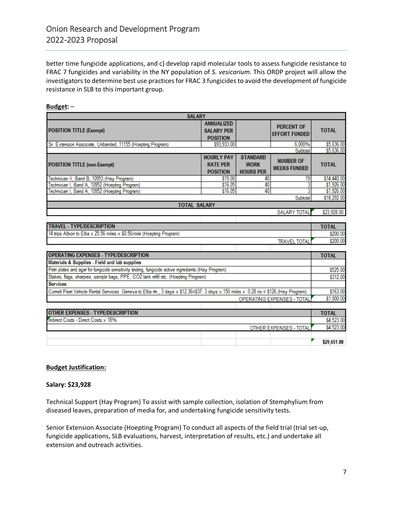better time fungicide applications, and c) develop rapid molecular tools to assess fungicide resistance to FRAC 7 fungicides and variability in the NY population of *S. vesicarium*. This ORDP project will allow the investigators to determine best use practices for FRAC 3 fungicides to avoid the development of fungicide resistance in SLB to this important group.

#### **Budget:** –

| <b>SALARY</b>                                                                                                                       |                                                           |                                                    |                                           |              |  |  |
|-------------------------------------------------------------------------------------------------------------------------------------|-----------------------------------------------------------|----------------------------------------------------|-------------------------------------------|--------------|--|--|
| <b>POSITION TITLE (Exempt)</b>                                                                                                      | <b>ANNUALIZED</b><br><b>SALARY PER</b><br><b>POSITION</b> |                                                    | <b>PERCENT OF</b><br><b>EFFORT FUNDED</b> | <b>TOTAL</b> |  |  |
| Sr. Extension Associate, Unbanded, 11155 (Hoepting Program)                                                                         | \$93.933.00                                               |                                                    | 6.000%                                    | \$5,636.00   |  |  |
|                                                                                                                                     |                                                           |                                                    | Subtotal                                  | \$5,636.00   |  |  |
| <b>POSITION TITLE (non-Exempt)</b>                                                                                                  | <b>HOURLY PAY</b><br><b>RATE PER</b><br><b>POSITION</b>   | <b>STANDARD</b><br><b>WORK</b><br><b>HOURS PER</b> | <b>NUMBER OF</b><br><b>WEEKS FUNDED</b>   | <b>TOTAL</b> |  |  |
| Technician II, Band B, 10953 (Hay Program)                                                                                          | \$19.00                                                   | 40                                                 | 19                                        | \$14,440.00  |  |  |
| Technician I, Band A, 10952 (Hoepting Program)                                                                                      | \$16.05                                                   | 40<br>40                                           |                                           | \$1,926.00   |  |  |
| Technician I, Band A, 10952 (Hoepting Program)                                                                                      | \$16.05                                                   |                                                    |                                           | \$1,926.00   |  |  |
| <b>TOTAL SALARY</b>                                                                                                                 |                                                           |                                                    | Subtotal                                  | \$18,292.00  |  |  |
|                                                                                                                                     |                                                           |                                                    | <b>SALARY TOTAL</b>                       | \$23,928.00  |  |  |
|                                                                                                                                     |                                                           |                                                    |                                           |              |  |  |
| <b>TRAVEL - TYPE/DESCRIPTION</b>                                                                                                    |                                                           |                                                    |                                           |              |  |  |
| 14 trips Albion to Elba x 25.56 miles x \$0.56/mile (Hoepting Program)                                                              |                                                           |                                                    |                                           | \$200.00     |  |  |
| <b>TRAVEL TOTAL</b>                                                                                                                 |                                                           |                                                    |                                           |              |  |  |
|                                                                                                                                     |                                                           |                                                    |                                           |              |  |  |
| <b>OPERATING EXPENSES - TYPE/DESCRIPTION</b>                                                                                        |                                                           |                                                    |                                           |              |  |  |
| Materials & Supplies - Field and lab supplies                                                                                       |                                                           |                                                    |                                           |              |  |  |
| Petri plates and agar for fungicide sensitivity testing, fungicide active ingredients (Hay Program)                                 |                                                           |                                                    |                                           |              |  |  |
| Stakes, flags, sharpies, sample bags, PPE, CO2 tank refill etc. (Hoepting Program)                                                  |                                                           |                                                    |                                           |              |  |  |
| Services:                                                                                                                           |                                                           |                                                    |                                           |              |  |  |
| Comell Fleet Vehicle Rental Services Geneva to Elba rtn., 3 days x \$12.36=\$37: 3 days x 150 miles x 0.28 mi.= \$126 (Hay Program) |                                                           |                                                    |                                           |              |  |  |
|                                                                                                                                     |                                                           |                                                    | <b>OPERATING EXPENSES - TOTAL</b>         | \$1,000.00   |  |  |
|                                                                                                                                     |                                                           |                                                    |                                           | <b>TOTAL</b> |  |  |
| <b>OTHER EXPENSES - TYPE/DESCRIPTION</b>                                                                                            |                                                           |                                                    |                                           |              |  |  |
| Indirect Costs - Direct Costs x 18%                                                                                                 |                                                           |                                                    |                                           | \$4.523.00   |  |  |
|                                                                                                                                     |                                                           |                                                    | OTHER EXPENSES - TOTAL                    | \$4,523.00   |  |  |
|                                                                                                                                     |                                                           |                                                    |                                           |              |  |  |
|                                                                                                                                     |                                                           |                                                    |                                           | \$29,651.00  |  |  |

#### **Budget Justification:**

#### **Salary: \$23,928**

Technical Support (Hay Program) To assist with sample collection, isolation of Stemphylium from diseased leaves, preparation of media for, and undertaking fungicide sensitivity tests.

Senior Extension Associate (Hoepting Program) To conduct all aspects of the field trial (trial set-up, fungicide applications, SLB evaluations, harvest, interpretation of results, etc.) and undertake all extension and outreach activities.